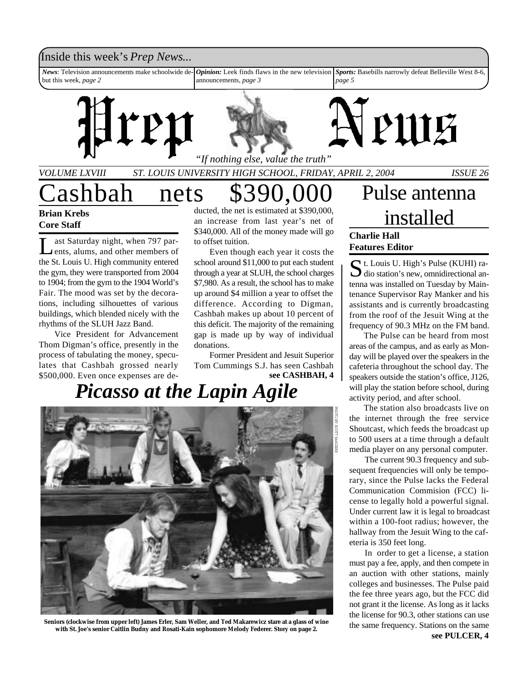#### Inside this week's *Prep News*...

*News*: Television announcements make schoolwide debut this week, *page 2 Opinion:* Leek finds flaws in the new television announcements, *page 3 Sports:* Basebills narrowly defeat Belleville West 8-6, *page 5*





*VOLUME LXVIII ST. LOUIS UNIVERSITY HIGH SCHOOL, FRIDAY, APRIL 2, 2004 ISSUE 26 "If nothing else, value the truth"*

### Cashbah nets \$390,000 **Brian Krebs Core Staff**

L ast Saturday night, when 797 parents, alums, and other members of the St. Louis U. High community entered the gym, they were transported from 2004 to 1904; from the gym to the 1904 World's Fair. The mood was set by the decorations, including silhouettes of various buildings, which blended nicely with the rhythms of the SLUH Jazz Band.

Vice President for Advancement Thom Digman's office, presently in the process of tabulating the money, speculates that Cashbah grossed nearly \$500,000. Even once expenses are de-

ducted, the net is estimated at \$390,000, an increase from last year's net of \$340,000. All of the money made will go to offset tuition.

Even though each year it costs the school around \$11,000 to put each student through a year at SLUH, the school charges \$7,980. As a result, the school has to make up around \$4 million a year to offset the difference. According to Digman, Cashbah makes up about 10 percent of this deficit. The majority of the remaining gap is made up by way of individual donations.

Former President and Jesuit Superior Tom Cummings S.J. has seen Cashbah **see CASHBAH, 4**

## *Picasso at the Lapin Agile*



**Seniors (clockwise from upper left) James Erler, Sam Weller, and Ted Makarewicz stare at a glass of wine with St. Joe's senior Caitlin Budny and Rosati-Kain sophomore Melody Federer. Story on page 2.**

### Pulse antenna installed **Charlie Hall**

PULF

### **Features Editor**

St. Louis U. High's Pulse (KUHI) ra-<br>dio station's new, omnidirectional ant. Louis U. High's Pulse (KUHI) ratenna was installed on Tuesday by Maintenance Supervisor Ray Manker and his assistants and is currently broadcasting from the roof of the Jesuit Wing at the frequency of 90.3 MHz on the FM band.

The Pulse can be heard from most areas of the campus, and as early as Monday will be played over the speakers in the cafeteria throughout the school day. The speakers outside the station's office, J126, will play the station before school, during activity period, and after school.

The station also broadcasts live on the internet through the free service Shoutcast, which feeds the broadcast up to 500 users at a time through a default media player on any personal computer.

The current 90.3 frequency and subsequent frequencies will only be temporary, since the Pulse lacks the Federal Communication Commision (FCC) license to legally hold a powerful signal. Under current law it is legal to broadcast within a 100-foot radius; however, the hallway from the Jesuit Wing to the cafeteria is 350 feet long.

**see PULCER, 4** In order to get a license, a station must pay a fee, apply, and then compete in an auction with other stations, mainly colleges and businesses. The Pulse paid the fee three years ago, but the FCC did not grant it the license. As long as it lacks the license for 90.3, other stations can use the same frequency. Stations on the same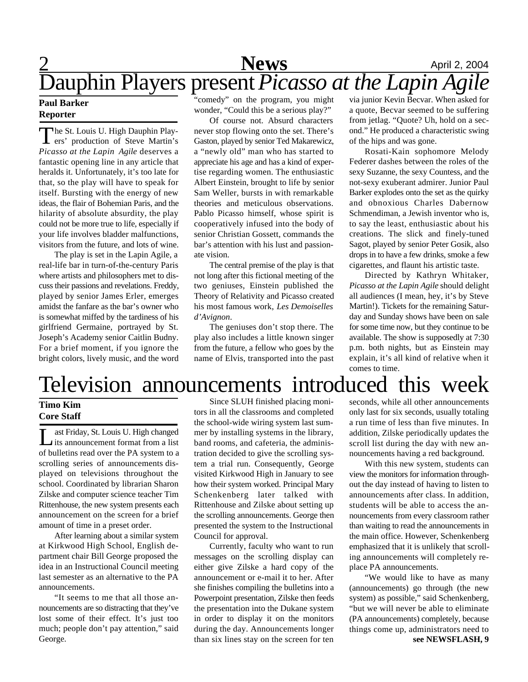## **News** April 2, 2004 Dauphin Players present *Picasso at the Lapin Agile*

#### **Paul Barker Reporter**

The St. Louis U. High Dauphin Players' production of Steve Martin's he St. Louis U. High Dauphin Play-*Picasso at the Lapin Agile* deserves a fantastic opening line in any article that heralds it. Unfortunately, it's too late for that, so the play will have to speak for itself. Bursting with the energy of new ideas, the flair of Bohemian Paris, and the hilarity of absolute absurdity, the play could not be more true to life, especially if your life involves bladder malfunctions, visitors from the future, and lots of wine.

The play is set in the Lapin Agile, a real-life bar in turn-of-the-century Paris where artists and philosophers met to discuss their passions and revelations. Freddy, played by senior James Erler, emerges amidst the fanfare as the bar's owner who is somewhat miffed by the tardiness of his girlfriend Germaine, portrayed by St. Joseph's Academy senior Caitlin Budny. For a brief moment, if you ignore the bright colors, lively music, and the word

"comedy" on the program, you might wonder, "Could this be a serious play?"

Of course not. Absurd characters never stop flowing onto the set. There's Gaston, played by senior Ted Makarewicz, a "newly old" man who has started to appreciate his age and has a kind of expertise regarding women. The enthusiastic Albert Einstein, brought to life by senior Sam Weller, bursts in with remarkable theories and meticulous observations. Pablo Picasso himself, whose spirit is cooperatively infused into the body of senior Christian Gossett, commands the bar's attention with his lust and passionate vision.

The central premise of the play is that not long after this fictional meeting of the two geniuses, Einstein published the Theory of Relativity and Picasso created his most famous work, *Les Demoiselles d'Avignon*.

The geniuses don't stop there. The play also includes a little known singer from the future, a fellow who goes by the name of Elvis, transported into the past via junior Kevin Becvar. When asked for a quote, Becvar seemed to be suffering from jetlag. "Quote? Uh, hold on a second." He produced a characteristic swing of the hips and was gone.

Rosati-Kain sophomore Melody Federer dashes between the roles of the sexy Suzanne, the sexy Countess, and the not-sexy exuberant admirer. Junior Paul Barker explodes onto the set as the quirky and obnoxious Charles Dabernow Schmendiman, a Jewish inventor who is, to say the least, enthusiastic about his creations. The slick and finely-tuned Sagot, played by senior Peter Gosik, also drops in to have a few drinks, smoke a few cigarettes, and flaunt his artistic taste.

Directed by Kathryn Whitaker, *Picasso at the Lapin Agile* should delight all audiences (I mean, hey, it's by Steve Martin!). Tickets for the remaining Saturday and Sunday shows have been on sale for some time now, but they continue to be available. The show is supposedly at 7:30 p.m. both nights, but as Einstein may explain, it's all kind of relative when it comes to time.

## Television announcements introduced this week

#### **Timo Kim Core Staff**

 $\prod_{c}$ ast Friday, St. Louis U. High changed its announcement format from a list of bulletins read over the PA system to a scrolling series of announcements displayed on televisions throughout the school. Coordinated by librarian Sharon Zilske and computer science teacher Tim Rittenhouse, the new system presents each announcement on the screen for a brief amount of time in a preset order.

After learning about a similar system at Kirkwood High School, English department chair Bill George proposed the idea in an Instructional Council meeting last semester as an alternative to the PA announcements.

"It seems to me that all those announcements are so distracting that they've lost some of their effect. It's just too much; people don't pay attention," said George.

Since SLUH finished placing monitors in all the classrooms and completed the school-wide wiring system last summer by installing systems in the library, band rooms, and cafeteria, the administration decided to give the scrolling system a trial run. Consequently, George visited Kirkwood High in January to see how their system worked. Principal Mary Schenkenberg later talked with Rittenhouse and Zilske about setting up the scrolling announcements. George then presented the system to the Instructional Council for approval.

Currently, faculty who want to run messages on the scrolling display can either give Zilske a hard copy of the announcement or e-mail it to her. After she finishes compiling the bulletins into a Powerpoint presentation, Zilske then feeds the presentation into the Dukane system in order to display it on the monitors during the day. Announcements longer than six lines stay on the screen for ten

seconds, while all other announcements only last for six seconds, usually totaling a run time of less than five minutes. In addition, Zilske periodically updates the scroll list during the day with new announcements having a red background.

With this new system, students can view the monitors for information throughout the day instead of having to listen to announcements after class. In addition, students will be able to access the announcements from every classroom rather than waiting to read the announcements in the main office. However, Schenkenberg emphasized that it is unlikely that scrolling announcements will completely replace PA announcements.

"We would like to have as many (announcements) go through (the new system) as possible," said Schenkenberg, "but we will never be able to eliminate (PA announcements) completely, because things come up, administrators need to **see NEWSFLASH, 9**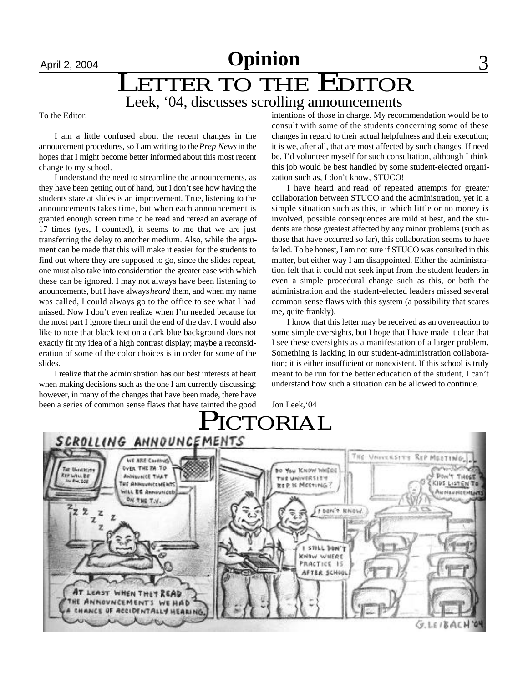### April 2, 2004 **Opinion** 3 LETTER TO THE EDITOR Leek, '04, discusses scrolling announcements

To the Editor:

I am a little confused about the recent changes in the annoucement procedures, so I am writing to the *Prep News* in the hopes that I might become better informed about this most recent change to my school.

I understand the need to streamline the announcements, as they have been getting out of hand, but I don't see how having the students stare at slides is an improvement. True, listening to the announcements takes time, but when each announcement is granted enough screen time to be read and reread an average of 17 times (yes, I counted), it seems to me that we are just transferring the delay to another medium. Also, while the argument can be made that this will make it easier for the students to find out where they are supposed to go, since the slides repeat, one must also take into consideration the greater ease with which these can be ignored. I may not always have been listening to anouncements, but I have always *heard* them, and when my name was called, I could always go to the office to see what I had missed. Now I don't even realize when I'm needed because for the most part I ignore them until the end of the day. I would also like to note that black text on a dark blue background does not exactly fit my idea of a high contrast display; maybe a reconsideration of some of the color choices is in order for some of the slides.

I realize that the administration has our best interests at heart when making decisions such as the one I am currently discussing; however, in many of the changes that have been made, there have been a series of common sense flaws that have tainted the good intentions of those in charge. My recommendation would be to consult with some of the students concerning some of these changes in regard to their actual helpfulness and their execution; it is we, after all, that are most affected by such changes. If need be, I'd volunteer myself for such consultation, although I think this job would be best handled by some student-elected organization such as, I don't know, STUCO!

I have heard and read of repeated attempts for greater collaboration between STUCO and the administration, yet in a simple situation such as this, in which little or no money is involved, possible consequences are mild at best, and the students are those greatest affected by any minor problems (such as those that have occurred so far), this collaboration seems to have failed. To be honest, I am not sure if STUCO was consulted in this matter, but either way I am disappointed. Either the administration felt that it could not seek input from the student leaders in even a simple procedural change such as this, or both the administration and the student-elected leaders missed several common sense flaws with this system (a possibility that scares me, quite frankly).

I know that this letter may be received as an overreaction to some simple oversights, but I hope that I have made it clear that I see these oversights as a manifestation of a larger problem. Something is lacking in our student-administration collaboration; it is either insufficient or nonexistent. If this school is truly meant to be run for the better education of the student, I can't understand how such a situation can be allowed to continue.

Jon Leek,'04

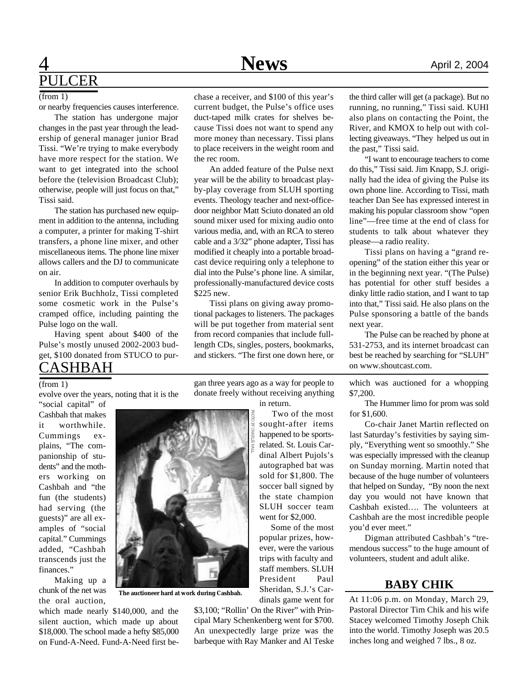### **1 News** April 2, 2004 PULCER

#### $(from 1)$

or nearby frequencies causes interference.

The station has undergone major changes in the past year through the leadership of general manager junior Brad Tissi. "We're trying to make everybody have more respect for the station. We want to get integrated into the school before the (television Broadcast Club); otherwise, people will just focus on that," Tissi said.

The station has purchased new equipment in addition to the antenna, including a computer, a printer for making T-shirt transfers, a phone line mixer, and other miscellaneous items. The phone line mixer allows callers and the DJ to communicate on air.

In addition to computer overhauls by senior Erik Buchholz, Tissi completed some cosmetic work in the Pulse's cramped office, including painting the Pulse logo on the wall.

Having spent about \$400 of the Pulse's mostly unused 2002-2003 budget, \$100 donated from STUCO to pur-

### CASHBAH

#### (from 1)

evolve over the years, noting that it is the "social capital" of

Cashbah that makes it worthwhile. Cummings explains, "The companionship of students" and the mothers working on Cashbah and "the fun (the students) had serving (the guests)" are all examples of "social capital." Cummings added, "Cashbah transcends just the finances."

Making up a chunk of the net was the oral auction,

which made nearly \$140,000, and the silent auction, which made up about \$18,000. The school made a hefty \$85,000 on Fund-A-Need. Fund-A-Need first bechase a receiver, and \$100 of this year's current budget, the Pulse's office uses duct-taped milk crates for shelves because Tissi does not want to spend any more money than necessary. Tissi plans to place receivers in the weight room and the rec room.

An added feature of the Pulse next year will be the ability to broadcast playby-play coverage from SLUH sporting events. Theology teacher and next-officedoor neighbor Matt Sciuto donated an old sound mixer used for mixing audio onto various media, and, with an RCA to stereo cable and a 3/32" phone adapter, Tissi has modified it cheaply into a portable broadcast device requiring only a telephone to dial into the Pulse's phone line. A similar, professionally-manufactured device costs \$225 new.

Tissi plans on giving away promotional packages to listeners. The packages will be put together from material sent from record companies that include fulllength CDs, singles, posters, bookmarks, and stickers. "The first one down here, or

gan three years ago as a way for people to donate freely without receiving anything

in return.

 Two of the most sought-after items happened to be sportsrelated. St. Louis Cardinal Albert Pujols's autographed bat was sold for \$1,800. The soccer ball signed by the state champion SLUH soccer team went for \$2,000.

 Some of the most popular prizes, however, were the various trips with faculty and staff members. SLUH President Paul Sheridan, S.J.'s Cardinals game went for

\$3,100; "Rollin' On the River" with Principal Mary Schenkenberg went for \$700. An unexpectedly large prize was the barbeque with Ray Manker and Al Teske

the third caller will get (a package). But no running, no running," Tissi said. KUHI also plans on contacting the Point, the River, and KMOX to help out with collecting giveaways. "They helped us out in the past," Tissi said.

"I want to encourage teachers to come do this," Tissi said. Jim Knapp, S.J. originally had the idea of giving the Pulse its own phone line. According to Tissi, math teacher Dan See has expressed interest in making his popular classroom show "open line"—free time at the end of class for students to talk about whatever they please—a radio reality.

Tissi plans on having a "grand reopening" of the station either this year or in the beginning next year. "(The Pulse) has potential for other stuff besides a dinky little radio station, and I want to tap into that," Tissi said. He also plans on the Pulse sponsoring a battle of the bands next year.

The Pulse can be reached by phone at 531-2753, and its internet broadcast can best be reached by searching for "SLUH" on www.shoutcast.com.

which was auctioned for a whopping \$7,200.

The Hummer limo for prom was sold for \$1,600.

Co-chair Janet Martin reflected on last Saturday's festivities by saying simply, "Everything went so smoothly." She was especially impressed with the cleanup on Sunday morning. Martin noted that because of the huge number of volunteers that helped on Sunday, "By noon the next day you would not have known that Cashbah existed…. The volunteers at Cashbah are the most incredible people you'd ever meet."

Digman attributed Cashbah's "tremendous success" to the huge amount of volunteers, student and adult alike.

#### **BABY CHIK**

At 11:06 p.m. on Monday, March 29, Pastoral Director Tim Chik and his wife Stacey welcomed Timothy Joseph Chik into the world. Timothy Joseph was 20.5 inches long and weighed 7 lbs., 8 oz.



**The auctioneer hard at work during Cashbah.**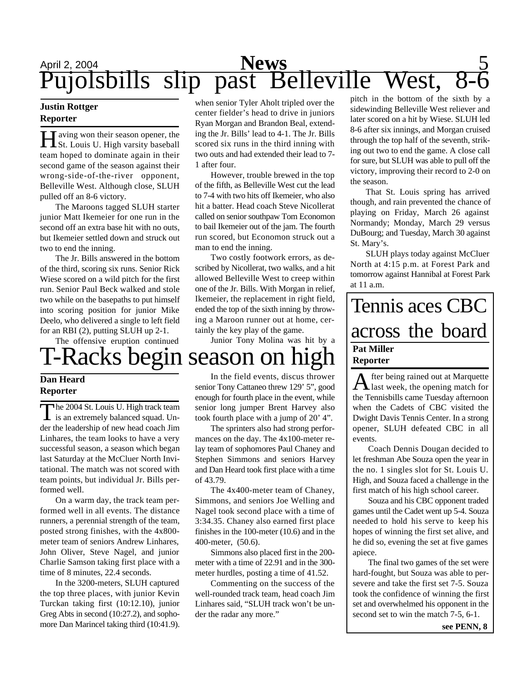## April 2, 2004 **News** 5 Pujolsbills slip past Belleville West, 8-6

#### **Justin Rottger Reporter**

Having won their season opener, the St. Louis U. High varsity baseball aving won their season opener, the team hoped to dominate again in their second game of the season against their wrong-side-of-the-river opponent, Belleville West. Although close, SLUH pulled off an 8-6 victory.

The Maroons tagged SLUH starter junior Matt Ikemeier for one run in the second off an extra base hit with no outs, but Ikemeier settled down and struck out two to end the inning.

The Jr. Bills answered in the bottom of the third, scoring six runs. Senior Rick Wiese scored on a wild pitch for the first run. Senior Paul Beck walked and stole two while on the basepaths to put himself into scoring position for junior Mike Deelo, who delivered a single to left field for an RBI (2), putting SLUH up 2-1.

The offensive eruption continued

# T-Racks begin season on high

#### **Dan Heard Reporter**

The 2004 St. Louis U. High track team<br>is an extremely balanced squad. Un-The 2004 St. Louis U. High track team der the leadership of new head coach Jim Linhares, the team looks to have a very successful season, a season which began last Saturday at the McCluer North Invitational. The match was not scored with team points, but individual Jr. Bills performed well.

On a warm day, the track team performed well in all events. The distance runners, a perennial strength of the team, posted strong finishes, with the 4x800 meter team of seniors Andrew Linhares, John Oliver, Steve Nagel, and junior Charlie Samson taking first place with a time of 8 minutes, 22.4 seconds.

In the 3200-meters, SLUH captured the top three places, with junior Kevin Turckan taking first (10:12.10), junior Greg Abts in second (10:27.2), and sophomore Dan Marincel taking third (10:41.9).

when senior Tyler Aholt tripled over the center fielder's head to drive in juniors Ryan Morgan and Brandon Beal, extending the Jr. Bills' lead to 4-1. The Jr. Bills scored six runs in the third inning with two outs and had extended their lead to 7- 1 after four.

However, trouble brewed in the top of the fifth, as Belleville West cut the lead to 7-4 with two hits off Ikemeier, who also hit a batter. Head coach Steve Nicollerat called on senior southpaw Tom Economon to bail Ikemeier out of the jam. The fourth run scored, but Economon struck out a man to end the inning.

Two costly footwork errors, as described by Nicollerat, two walks, and a hit allowed Belleville West to creep within one of the Jr. Bills. With Morgan in relief, Ikemeier, the replacement in right field, ended the top of the sixth inning by throwing a Maroon runner out at home, certainly the key play of the game.

Junior Tony Molina was hit by a

# In the field events, discus thrower

senior Tony Cattaneo threw 129' 5", good enough for fourth place in the event, while senior long jumper Brent Harvey also took fourth place with a jump of 20' 4".

The sprinters also had strong performances on the day. The 4x100-meter relay team of sophomores Paul Chaney and Stephen Simmons and seniors Harvey and Dan Heard took first place with a time of 43.79.

The 4x400-meter team of Chaney, Simmons, and seniors Joe Welling and Nagel took second place with a time of 3:34.35. Chaney also earned first place finishes in the 100-meter (10.6) and in the 400-meter, (50.6).

Simmons also placed first in the 200 meter with a time of 22.91 and in the 300 meter hurdles, posting a time of 41.52.

Commenting on the success of the well-rounded track team, head coach Jim Linhares said, "SLUH track won't be under the radar any more."

pitch in the bottom of the sixth by a sidewinding Belleville West reliever and later scored on a hit by Wiese. SLUH led 8-6 after six innings, and Morgan cruised through the top half of the seventh, striking out two to end the game. A close call for sure, but SLUH was able to pull off the victory, improving their record to 2-0 on the season.

That St. Louis spring has arrived though, and rain prevented the chance of playing on Friday, March 26 against Normandy; Monday, March 29 versus DuBourg; and Tuesday, March 30 against St. Mary's.

SLUH plays today against McCluer North at 4:15 p.m. at Forest Park and tomorrow against Hannibal at Forest Park at 11 a.m.

### Tennis aces CBC across the board **Pat Miller Reporter**

A fter being rained out at Marquette fter being rained out at Marquette the Tennisbills came Tuesday afternoon when the Cadets of CBC visited the Dwight Davis Tennis Center. In a strong opener, SLUH defeated CBC in all events.

Coach Dennis Dougan decided to let freshman Abe Souza open the year in the no. 1 singles slot for St. Louis U. High, and Souza faced a challenge in the first match of his high school career.

Souza and his CBC opponent traded games until the Cadet went up 5-4. Souza needed to hold his serve to keep his hopes of winning the first set alive, and he did so, evening the set at five games apiece.

The final two games of the set were hard-fought, but Souza was able to persevere and take the first set 7-5. Souza took the confidence of winning the first set and overwhelmed his opponent in the second set to win the match 7-5, 6-1.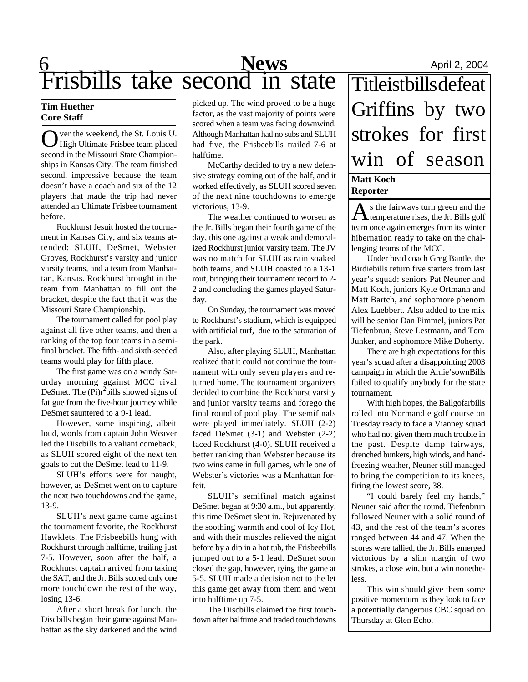## **6** April 2, 2004 Frisbills take second in state

#### **Tim Huether Core Staff**

O ver the weekend, the St. Louis U.<br>High Ultimate Frisbee team placed ver the weekend, the St. Louis U. second in the Missouri State Championships in Kansas City. The team finished second, impressive because the team doesn't have a coach and six of the 12 players that made the trip had never attended an Ultimate Frisbee tournament before.

Rockhurst Jesuit hosted the tournament in Kansas City, and six teams attended: SLUH, DeSmet, Webster Groves, Rockhurst's varsity and junior varsity teams, and a team from Manhattan, Kansas. Rockhurst brought in the team from Manhattan to fill out the bracket, despite the fact that it was the Missouri State Championship.

The tournament called for pool play against all five other teams, and then a ranking of the top four teams in a semifinal bracket. The fifth- and sixth-seeded teams would play for fifth place.

The first game was on a windy Saturday morning against MCC rival DeSmet. The  $(Pi)r^2$ bills showed signs of fatigue from the five-hour journey while DeSmet sauntered to a 9-1 lead.

However, some inspiring, albeit loud, words from captain John Weaver led the Discbills to a valiant comeback, as SLUH scored eight of the next ten goals to cut the DeSmet lead to 11-9.

SLUH's efforts were for naught, however, as DeSmet went on to capture the next two touchdowns and the game, 13-9.

SLUH's next game came against the tournament favorite, the Rockhurst Hawklets. The Frisbeebills hung with Rockhurst through halftime, trailing just 7-5. However, soon after the half, a Rockhurst captain arrived from taking the SAT, and the Jr. Bills scored only one more touchdown the rest of the way, losing 13-6.

After a short break for lunch, the Discbills began their game against Manhattan as the sky darkened and the wind picked up. The wind proved to be a huge factor, as the vast majority of points were scored when a team was facing downwind. Although Manhattan had no subs and SLUH had five, the Frisbeebills trailed 7-6 at halftime.

McCarthy decided to try a new defensive strategy coming out of the half, and it worked effectively, as SLUH scored seven of the next nine touchdowns to emerge victorious, 13-9.

The weather continued to worsen as the Jr. Bills began their fourth game of the day, this one against a weak and demoralized Rockhurst junior varsity team. The JV was no match for SLUH as rain soaked both teams, and SLUH coasted to a 13-1 rout, bringing their tournament record to 2- 2 and concluding the games played Saturday.

On Sunday, the tournament was moved to Rockhurst's stadium, which is equipped with artificial turf, due to the saturation of the park.

Also, after playing SLUH, Manhattan realized that it could not continue the tournament with only seven players and returned home. The tournament organizers decided to combine the Rockhurst varsity and junior varsity teams and forego the final round of pool play. The semifinals were played immediately. SLUH (2-2) faced DeSmet (3-1) and Webster (2-2) faced Rockhurst (4-0). SLUH received a better ranking than Webster because its two wins came in full games, while one of Webster's victories was a Manhattan forfeit.

SLUH's semifinal match against DeSmet began at 9:30 a.m., but apparently, this time DeSmet slept in. Rejuvenated by the soothing warmth and cool of Icy Hot, and with their muscles relieved the night before by a dip in a hot tub, the Frisbeebills jumped out to a 5-1 lead. DeSmet soon closed the gap, however, tying the game at 5-5. SLUH made a decision not to the let this game get away from them and went into halftime up 7-5.

The Discbills claimed the first touchdown after halftime and traded touchdowns **Matt Koch Reporter** Titleistbills defeat Griffins by two strokes for first win of season

 $A$ s the fairways turn green and the Jr. Bills golf s the fairways turn green and the team once again emerges from its winter hibernation ready to take on the challenging teams of the MCC.

Under head coach Greg Bantle, the Birdiebills return five starters from last year's squad: seniors Pat Neuner and Matt Koch, juniors Kyle Ortmann and Matt Bartch, and sophomore phenom Alex Luebbert. Also added to the mix will be senior Dan Pimmel, juniors Pat Tiefenbrun, Steve Lestmann, and Tom Junker, and sophomore Mike Doherty.

There are high expectations for this year's squad after a disappointing 2003 campaign in which the Arnie'sownBills failed to qualify anybody for the state tournament.

With high hopes, the Ballgofarbills rolled into Normandie golf course on Tuesday ready to face a Vianney squad who had not given them much trouble in the past. Despite damp fairways, drenched bunkers, high winds, and handfreezing weather, Neuner still managed to bring the competition to its knees, firing the lowest score, 38.

"I could barely feel my hands," Neuner said after the round. Tiefenbrun followed Neuner with a solid round of 43, and the rest of the team's scores ranged between 44 and 47. When the scores were tallied, the Jr. Bills emerged victorious by a slim margin of two strokes, a close win, but a win nonetheless.

This win should give them some positive momentum as they look to face a potentially dangerous CBC squad on Thursday at Glen Echo.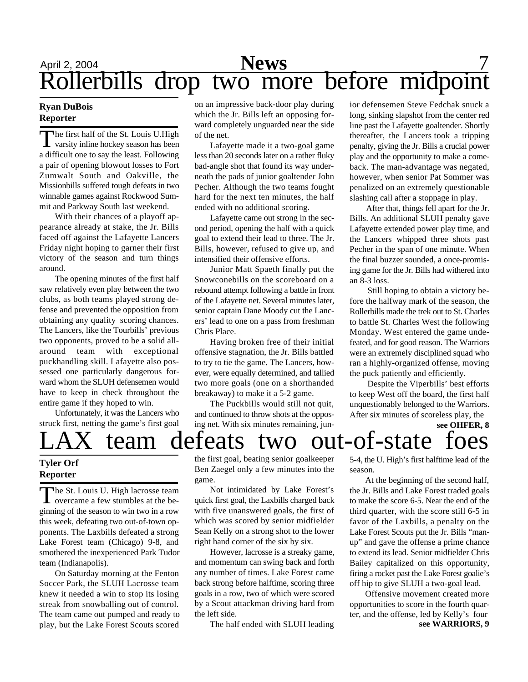## April 2, 2004 **News** 7 Rollerbills drop two more before midpoint

#### **Ryan DuBois Reporter**

The first half of the St. Louis U.High<br>varsity inline hockey season has been The first half of the St. Louis U.High a difficult one to say the least. Following a pair of opening blowout losses to Fort Zumwalt South and Oakville, the Missionbills suffered tough defeats in two winnable games against Rockwood Summit and Parkway South last weekend.

With their chances of a playoff appearance already at stake, the Jr. Bills faced off against the Lafayette Lancers Friday night hoping to garner their first victory of the season and turn things around.

The opening minutes of the first half saw relatively even play between the two clubs, as both teams played strong defense and prevented the opposition from obtaining any quality scoring chances. The Lancers, like the Tourbills' previous two opponents, proved to be a solid allaround team with exceptional puckhandling skill. Lafayette also possessed one particularly dangerous forward whom the SLUH defensemen would have to keep in check throughout the entire game if they hoped to win.

Unfortunately, it was the Lancers who struck first, netting the game's first goal on an impressive back-door play during which the Jr. Bills left an opposing forward completely unguarded near the side of the net.

Lafayette made it a two-goal game less than 20 seconds later on a rather fluky bad-angle shot that found its way underneath the pads of junior goaltender John Pecher. Although the two teams fought hard for the next ten minutes, the half ended with no additional scoring.

Lafayette came out strong in the second period, opening the half with a quick goal to extend their lead to three. The Jr. Bills, however, refused to give up, and intensified their offensive efforts.

Junior Matt Spaeth finally put the Snowconebills on the scoreboard on a rebound attempt following a battle in front of the Lafayette net. Several minutes later, senior captain Dane Moody cut the Lancers' lead to one on a pass from freshman Chris Place.

Having broken free of their initial offensive stagnation, the Jr. Bills battled to try to tie the game. The Lancers, however, were equally determined, and tallied two more goals (one on a shorthanded breakaway) to make it a 5-2 game.

The Puckbills would still not quit, and continued to throw shots at the opposing net. With six minutes remaining, junior defensemen Steve Fedchak snuck a long, sinking slapshot from the center red line past the Lafayette goaltender. Shortly thereafter, the Lancers took a tripping penalty, giving the Jr. Bills a crucial power play and the opportunity to make a comeback. The man-advantage was negated, however, when senior Pat Sommer was penalized on an extremely questionable slashing call after a stoppage in play.

 After that, things fell apart for the Jr. Bills. An additional SLUH penalty gave Lafayette extended power play time, and the Lancers whipped three shots past Pecher in the span of one minute. When the final buzzer sounded, a once-promising game for the Jr. Bills had withered into an 8-3 loss.

 Still hoping to obtain a victory before the halfway mark of the season, the Rollerbills made the trek out to St. Charles to battle St. Charles West the following Monday. West entered the game undefeated, and for good reason. The Warriors were an extremely disciplined squad who ran a highly-organized offense, moving the puck patiently and efficiently.

 Despite the Viperbills' best efforts to keep West off the board, the first half unquestionably belonged to the Warriors. After six minutes of scoreless play, the

**see OHFER, 8**

# team defeats two out-of-state

#### **Tyler Orf Reporter**

The St. Louis U. High lacrosse team<br>overcame a few stumbles at the beovercame a few stumbles at the beginning of the season to win two in a row this week, defeating two out-of-town opponents. The Laxbills defeated a strong Lake Forest team (Chicago) 9-8, and smothered the inexperienced Park Tudor team (Indianapolis).

On Saturday morning at the Fenton Soccer Park, the SLUH Lacrosse team knew it needed a win to stop its losing streak from snowballing out of control. The team came out pumped and ready to play, but the Lake Forest Scouts scored

the first goal, beating senior goalkeeper Ben Zaegel only a few minutes into the game.

Not intimidated by Lake Forest's quick first goal, the Laxbills charged back with five unanswered goals, the first of which was scored by senior midfielder Sean Kelly on a strong shot to the lower right hand corner of the six by six.

However, lacrosse is a streaky game, and momentum can swing back and forth any number of times. Lake Forest came back strong before halftime, scoring three goals in a row, two of which were scored by a Scout attackman driving hard from the left side.

The half ended with SLUH leading

5-4, the U. High's first halftime lead of the season.

At the beginning of the second half, the Jr. Bills and Lake Forest traded goals to make the score 6-5. Near the end of the third quarter, with the score still 6-5 in favor of the Laxbills, a penalty on the Lake Forest Scouts put the Jr. Bills "manup" and gave the offense a prime chance to extend its lead. Senior midfielder Chris Bailey capitalized on this opportunity, firing a rocket past the Lake Forest goalie's off hip to give SLUH a two-goal lead.

Offensive movement created more opportunities to score in the fourth quarter, and the offense, led by Kelly's four **see WARRIORS, 9**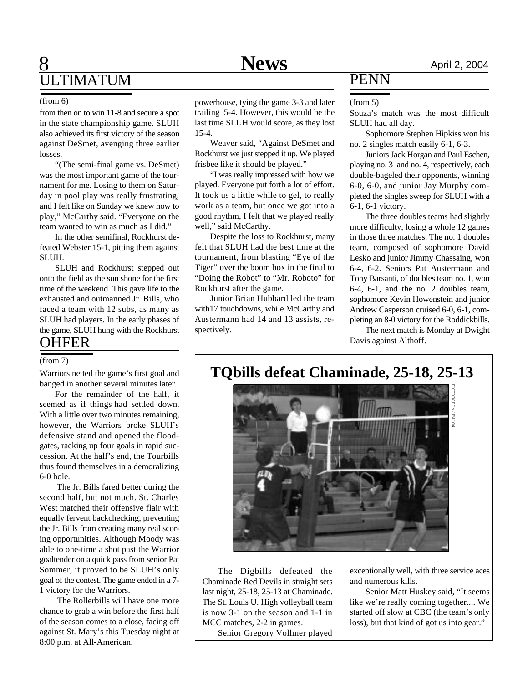### **8** April 2, 2004 ULTIMATUM

#### (from 6)

from then on to win 11-8 and secure a spot in the state championship game. SLUH also achieved its first victory of the season against DeSmet, avenging three earlier losses.

"(The semi-final game vs. DeSmet) was the most important game of the tournament for me. Losing to them on Saturday in pool play was really frustrating, and I felt like on Sunday we knew how to play," McCarthy said. "Everyone on the team wanted to win as much as I did."

In the other semifinal, Rockhurst defeated Webster 15-1, pitting them against SLUH.

SLUH and Rockhurst stepped out onto the field as the sun shone for the first time of the weekend. This gave life to the exhausted and outmanned Jr. Bills, who faced a team with 12 subs, as many as SLUH had players. In the early phases of the game, SLUH hung with the Rockhurst **OHFER** 

#### (from 7)

Warriors netted the game's first goal and banged in another several minutes later.

For the remainder of the half, it seemed as if things had settled down. With a little over two minutes remaining, however, the Warriors broke SLUH's defensive stand and opened the floodgates, racking up four goals in rapid succession. At the half's end, the Tourbills thus found themselves in a demoralizing 6-0 hole.

 The Jr. Bills fared better during the second half, but not much. St. Charles West matched their offensive flair with equally fervent backchecking, preventing the Jr. Bills from creating many real scoring opportunities. Although Moody was able to one-time a shot past the Warrior goaltender on a quick pass from senior Pat Sommer, it proved to be SLUH's only goal of the contest. The game ended in a 7- 1 victory for the Warriors.

 The Rollerbills will have one more chance to grab a win before the first half of the season comes to a close, facing off against St. Mary's this Tuesday night at 8:00 p.m. at All-American.

powerhouse, tying the game 3-3 and later trailing 5-4. However, this would be the last time SLUH would score, as they lost 15-4.

Weaver said, "Against DeSmet and Rockhurst we just stepped it up. We played frisbee like it should be played."

"I was really impressed with how we played. Everyone put forth a lot of effort. It took us a little while to gel, to really work as a team, but once we got into a good rhythm, I felt that we played really well," said McCarthy.

Despite the loss to Rockhurst, many felt that SLUH had the best time at the tournament, from blasting "Eye of the Tiger" over the boom box in the final to "Doing the Robot" to "Mr. Roboto" for Rockhurst after the game.

Junior Brian Hubbard led the team with17 touchdowns, while McCarthy and Austermann had 14 and 13 assists, respectively.

### PENN

#### (from 5)

Souza's match was the most difficult SLUH had all day.

Sophomore Stephen Hipkiss won his no. 2 singles match easily 6-1, 6-3.

Juniors Jack Horgan and Paul Eschen, playing no. 3 and no. 4, respectively, each double-bageled their opponents, winning 6-0, 6-0, and junior Jay Murphy completed the singles sweep for SLUH with a 6-1, 6-1 victory.

The three doubles teams had slightly more difficulty, losing a whole 12 games in those three matches. The no. 1 doubles team, composed of sophomore David Lesko and junior Jimmy Chassaing, won 6-4, 6-2. Seniors Pat Austermann and Tony Barsanti, of doubles team no. 1, won 6-4, 6-1, and the no. 2 doubles team, sophomore Kevin Howenstein and junior Andrew Casperson cruised 6-0, 6-1, completing an 8-0 victory for the Roddickbills.

The next match is Monday at Dwight Davis against Althoff.

**TQbills defeat Chaminade, 25-18, 25-13**



The Digbills defeated the Chaminade Red Devils in straight sets last night, 25-18, 25-13 at Chaminade. The St. Louis U. High volleyball team is now 3-1 on the season and 1-1 in MCC matches, 2-2 in games.

Senior Gregory Vollmer played

exceptionally well, with three service aces and numerous kills.

Senior Matt Huskey said, "It seems like we're really coming together.... We started off slow at CBC (the team's only loss), but that kind of got us into gear."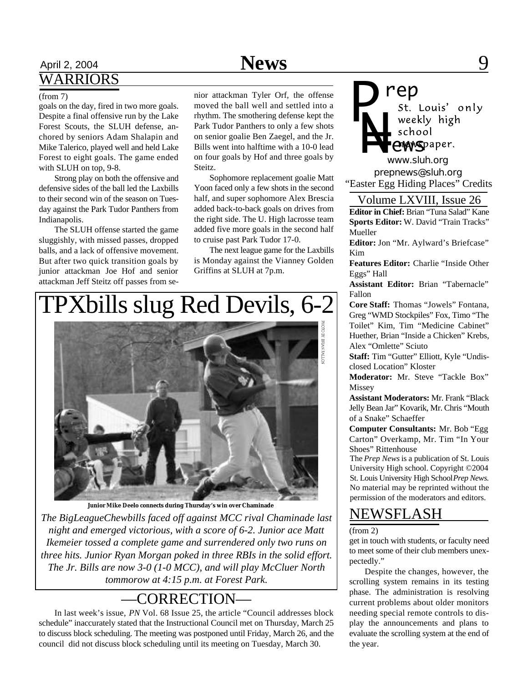### April 2, 2004 **News** 9 WARRIORS

goals on the day, fired in two more goals. Despite a final offensive run by the Lake Forest Scouts, the SLUH defense, anchored by seniors Adam Shalapin and Mike Talerico, played well and held Lake Forest to eight goals. The game ended with SLUH on top, 9-8.

Strong play on both the offensive and defensive sides of the ball led the Laxbills to their second win of the season on Tuesday against the Park Tudor Panthers from Indianapolis.

The SLUH offense started the game sluggishly, with missed passes, dropped balls, and a lack of offensive movement. But after two quick transition goals by junior attackman Joe Hof and senior attackman Jeff Steitz off passes from se-

(from 7) nior attackman Tyler Orf, the offense moved the ball well and settled into a rhythm. The smothering defense kept the Park Tudor Panthers to only a few shots on senior goalie Ben Zaegel, and the Jr. Bills went into halftime with a 10-0 lead on four goals by Hof and three goals by Steitz.

Sophomore replacement goalie Matt Yoon faced only a few shots in the second half, and super sophomore Alex Brescia added back-to-back goals on drives from the right side. The U. High lacrosse team added five more goals in the second half to cruise past Park Tudor 17-0.

The next league game for the Laxbills is Monday against the Vianney Golden Griffins at SLUH at 7p.m.

# TPXbills slug Red Devils, 6-2



**Junior Mike Deelo connects during Thursday's win over Chaminade**

*The BigLeagueChewbills faced off against MCC rival Chaminade last night and emerged victorious, with a score of 6-2. Junior ace Matt Ikemeier tossed a complete game and surrendered only two runs on three hits. Junior Ryan Morgan poked in three RBIs in the solid effort. The Jr. Bills are now 3-0 (1-0 MCC), and will play McCluer North tommorow at 4:15 p.m. at Forest Park.*

### —CORRECTION—

In last week's issue, *PN* Vol. 68 Issue 25, the article "Council addresses block schedule" inaccurately stated that the Instructional Council met on Thursday, March 25 to discuss block scheduling. The meeting was postponed until Friday, March 26, and the council did not discuss block scheduling until its meeting on Tuesday, March 30.

*P*

*rep* weekly high *N=* school **ewspaper.** 

*prepnews@sluh.org www.sluh.org* "Easter Egg Hiding Places" Credits

#### Volume LXVIII, Issue 26

**Editor in Chief:** Brian "Tuna Salad" Kane **Sports Editor:** W. David "Train Tracks" Mueller

**Editor:** Jon "Mr. Aylward's Briefcase" Kim

**Features Editor:** Charlie "Inside Other Eggs" Hall

**Assistant Editor:** Brian "Tabernacle" Fallon

**Core Staff:** Thomas "Jowels" Fontana, Greg "WMD Stockpiles" Fox, Timo "The Toilet" Kim, Tim "Medicine Cabinet" Huether, Brian "Inside a Chicken" Krebs, Alex "Omlette" Sciuto

**Staff:** Tim "Gutter" Elliott, Kyle "Undisclosed Location" Kloster

**Moderator:** Mr. Steve "Tackle Box" Missey

**Assistant Moderators:** Mr. Frank "Black Jelly Bean Jar" Kovarik, Mr. Chris "Mouth of a Snake" Schaeffer

**Computer Consultants:** Mr. Bob "Egg Carton" Overkamp, Mr. Tim "In Your Shoes" Rittenhouse

The *Prep News* is a publication of St. Louis University High school. Copyright ©2004 St. Louis University High School *Prep News.* No material may be reprinted without the permission of the moderators and editors.

### NEWSFLASH

#### $(from 2)$

get in touch with students, or faculty need to meet some of their club members unexpectedly."

Despite the changes, however, the scrolling system remains in its testing phase. The administration is resolving current problems about older monitors needing special remote controls to display the announcements and plans to evaluate the scrolling system at the end of the year.